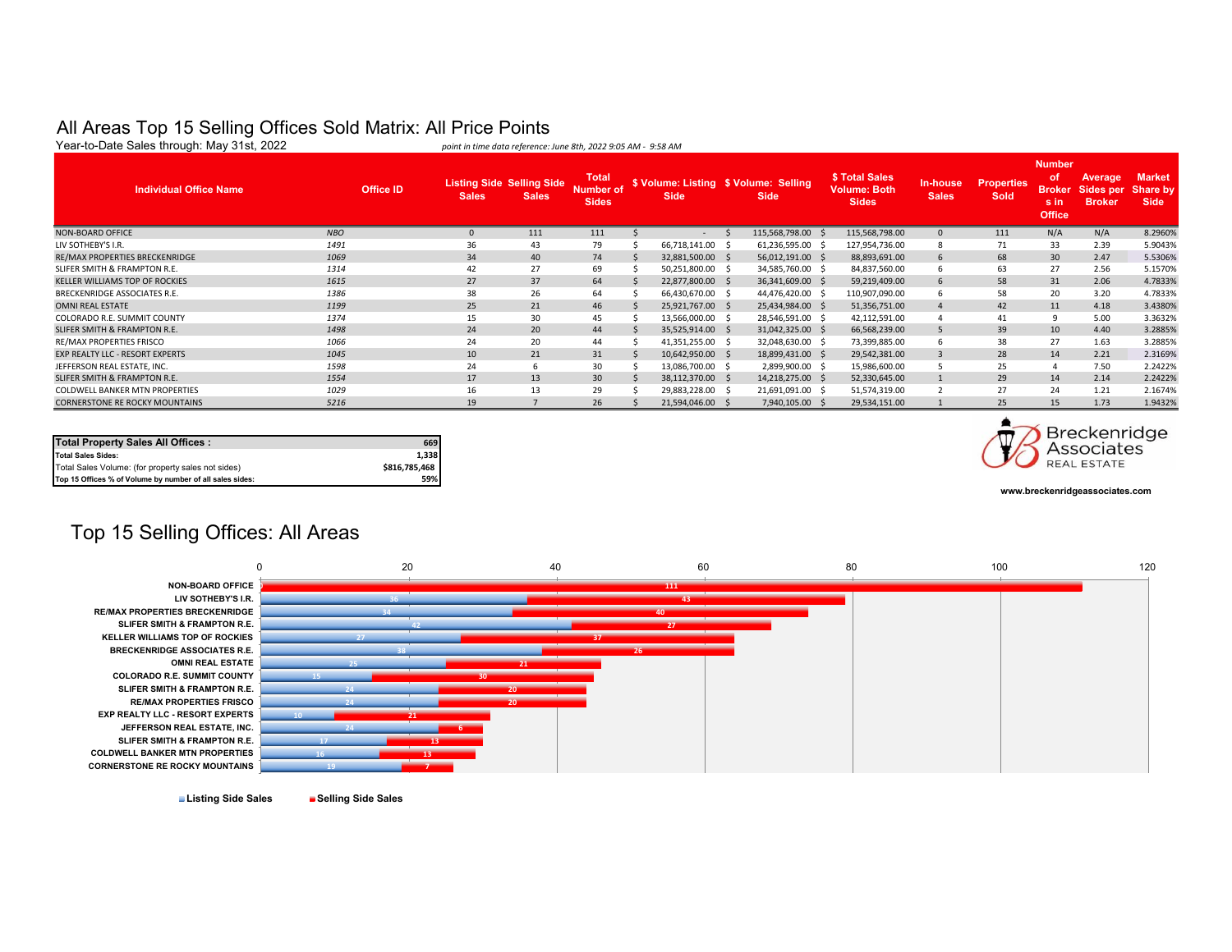#### All Areas Top 15 Selling Offices Sold Matrix: All Price Points

| <b>Number</b><br>\$ Total Sales<br><b>Market</b><br><b>Total</b><br>.of<br><b>Average</b><br><b>Listing Side Selling Side</b><br>\$ Volume: Listing \$ Volume: Selling<br><b>In-house</b><br><b>Properties</b><br><b>Individual Office Name</b><br>Share by<br><b>Office ID</b><br><b>Broker</b> Sides per<br><b>Volume: Both</b><br><b>Number of</b><br><b>Sales</b><br>Sold<br><b>Sales</b><br><b>Side</b><br><b>Sales</b><br><b>Side</b><br><b>Sides</b><br><b>Sides</b><br><b>Broker</b><br><b>Side</b><br>s in<br><b>Office</b><br><b>NBO</b><br>111<br>115,568,798.00 \$<br>N/A<br>N/A<br>8.2960%<br>111<br>115,568,798.00<br>111<br>$\Omega$<br><b>State Street</b><br>33<br>36<br>79<br>2.39<br>43<br>5.9043%<br>1491<br>66,718,141.00 \$<br>61,236,595.00 \$<br>127,954,736.00<br>71<br>1069<br>34<br>40<br>74<br>30<br>2.47<br>5.5306%<br>68<br>32,881,500.00 \$<br>56,012,191.00 \$<br>88,893,691.00<br>27<br>1314<br>42<br>27<br>69<br>2.56<br>5.1570%<br>63<br>50,251,800.00 \$<br>34,585,760.00 \$<br>84,837,560.00<br>27<br>37<br>58<br>31<br>2.06<br>1615<br>64<br>22,877,800.00 \$<br>36,341,609.00 \$<br>4.7833%<br>59,219,409.00<br>38<br>26<br>1386<br>64<br>58<br>20<br>3.20<br>4.7833%<br>66,430,670.00 \$<br>44,476,420.00 \$<br>110,907,090.00<br>25<br>1199<br>21<br>46<br>51,356,751.00<br>11<br>4.18<br>3.4380%<br>25,921,767.00 \$<br>25,434,984.00 \$<br>42<br>15<br>30<br>1374<br>45<br>41<br>9<br>5.00<br>3.3632%<br>13,566,000.00 \$<br>28,546,591.00 \$<br>42,112,591.00<br>24<br>20<br>1498<br>39<br>10<br>4.40<br>3.2885%<br>44<br>35,525,914.00 \$<br>31,042,325.00 \$<br>66,568,239.00<br>20<br>27<br>1066<br>24<br>38<br>1.63<br>3.2885%<br>44<br>41,351,255.00 \$<br>32,048,630.00 \$<br>73,399,885.00<br>21<br>28<br>14<br>2.21<br>2.3169%<br>1045<br>10<br>31<br>10,642,950.00 \$<br>18,899,431.00 \$<br>29,542,381.00<br>24<br>25<br>1598<br>30<br>7.50<br>2.2422%<br>13,086,700.00 \$<br>2,899,900.00 \$<br>15,986,600.00<br>6<br>2.2422%<br>1554<br>17<br>13<br>30 <sup>°</sup><br>38,112,370.00 \$<br>14,218,275.00 \$<br>52,330,645.00<br>29<br>14<br>2.14<br>24<br>1029<br>16<br>13<br>29<br>27<br>1.21<br>2.1674%<br>29,883,228.00 \$<br>21,691,091.00 \$<br>51,574,319.00<br>19<br>1.9432%<br>5216<br>26<br>25<br>15<br>1.73<br>21,594,046.00 \$<br>7,940,105.00<br>29,534,151.00 | Year-to-Date Sales through: May 31st, 2022 | point in time data reference: June 8th, 2022 9:05 AM - 9:58 AM |  |  |  |  |  |  |
|------------------------------------------------------------------------------------------------------------------------------------------------------------------------------------------------------------------------------------------------------------------------------------------------------------------------------------------------------------------------------------------------------------------------------------------------------------------------------------------------------------------------------------------------------------------------------------------------------------------------------------------------------------------------------------------------------------------------------------------------------------------------------------------------------------------------------------------------------------------------------------------------------------------------------------------------------------------------------------------------------------------------------------------------------------------------------------------------------------------------------------------------------------------------------------------------------------------------------------------------------------------------------------------------------------------------------------------------------------------------------------------------------------------------------------------------------------------------------------------------------------------------------------------------------------------------------------------------------------------------------------------------------------------------------------------------------------------------------------------------------------------------------------------------------------------------------------------------------------------------------------------------------------------------------------------------------------------------------------------------------------------------------------------------------------------------------------------------------------------------------------------------------------------------------------------------------------------------------------------------------------------------------------------------------------------------------------|--------------------------------------------|----------------------------------------------------------------|--|--|--|--|--|--|
|                                                                                                                                                                                                                                                                                                                                                                                                                                                                                                                                                                                                                                                                                                                                                                                                                                                                                                                                                                                                                                                                                                                                                                                                                                                                                                                                                                                                                                                                                                                                                                                                                                                                                                                                                                                                                                                                                                                                                                                                                                                                                                                                                                                                                                                                                                                                    |                                            |                                                                |  |  |  |  |  |  |
|                                                                                                                                                                                                                                                                                                                                                                                                                                                                                                                                                                                                                                                                                                                                                                                                                                                                                                                                                                                                                                                                                                                                                                                                                                                                                                                                                                                                                                                                                                                                                                                                                                                                                                                                                                                                                                                                                                                                                                                                                                                                                                                                                                                                                                                                                                                                    | NON-BOARD OFFICE                           |                                                                |  |  |  |  |  |  |
|                                                                                                                                                                                                                                                                                                                                                                                                                                                                                                                                                                                                                                                                                                                                                                                                                                                                                                                                                                                                                                                                                                                                                                                                                                                                                                                                                                                                                                                                                                                                                                                                                                                                                                                                                                                                                                                                                                                                                                                                                                                                                                                                                                                                                                                                                                                                    | LIV SOTHEBY'S I.R.                         |                                                                |  |  |  |  |  |  |
|                                                                                                                                                                                                                                                                                                                                                                                                                                                                                                                                                                                                                                                                                                                                                                                                                                                                                                                                                                                                                                                                                                                                                                                                                                                                                                                                                                                                                                                                                                                                                                                                                                                                                                                                                                                                                                                                                                                                                                                                                                                                                                                                                                                                                                                                                                                                    | RE/MAX PROPERTIES BRECKENRIDGE             |                                                                |  |  |  |  |  |  |
|                                                                                                                                                                                                                                                                                                                                                                                                                                                                                                                                                                                                                                                                                                                                                                                                                                                                                                                                                                                                                                                                                                                                                                                                                                                                                                                                                                                                                                                                                                                                                                                                                                                                                                                                                                                                                                                                                                                                                                                                                                                                                                                                                                                                                                                                                                                                    | SLIFER SMITH & FRAMPTON R.E.               |                                                                |  |  |  |  |  |  |
|                                                                                                                                                                                                                                                                                                                                                                                                                                                                                                                                                                                                                                                                                                                                                                                                                                                                                                                                                                                                                                                                                                                                                                                                                                                                                                                                                                                                                                                                                                                                                                                                                                                                                                                                                                                                                                                                                                                                                                                                                                                                                                                                                                                                                                                                                                                                    | KELLER WILLIAMS TOP OF ROCKIES             |                                                                |  |  |  |  |  |  |
|                                                                                                                                                                                                                                                                                                                                                                                                                                                                                                                                                                                                                                                                                                                                                                                                                                                                                                                                                                                                                                                                                                                                                                                                                                                                                                                                                                                                                                                                                                                                                                                                                                                                                                                                                                                                                                                                                                                                                                                                                                                                                                                                                                                                                                                                                                                                    | BRECKENRIDGE ASSOCIATES R.E.               |                                                                |  |  |  |  |  |  |
|                                                                                                                                                                                                                                                                                                                                                                                                                                                                                                                                                                                                                                                                                                                                                                                                                                                                                                                                                                                                                                                                                                                                                                                                                                                                                                                                                                                                                                                                                                                                                                                                                                                                                                                                                                                                                                                                                                                                                                                                                                                                                                                                                                                                                                                                                                                                    | <b>OMNI REAL ESTATE</b>                    |                                                                |  |  |  |  |  |  |
|                                                                                                                                                                                                                                                                                                                                                                                                                                                                                                                                                                                                                                                                                                                                                                                                                                                                                                                                                                                                                                                                                                                                                                                                                                                                                                                                                                                                                                                                                                                                                                                                                                                                                                                                                                                                                                                                                                                                                                                                                                                                                                                                                                                                                                                                                                                                    | COLORADO R.E. SUMMIT COUNTY                |                                                                |  |  |  |  |  |  |
|                                                                                                                                                                                                                                                                                                                                                                                                                                                                                                                                                                                                                                                                                                                                                                                                                                                                                                                                                                                                                                                                                                                                                                                                                                                                                                                                                                                                                                                                                                                                                                                                                                                                                                                                                                                                                                                                                                                                                                                                                                                                                                                                                                                                                                                                                                                                    | SLIFER SMITH & FRAMPTON R.E.               |                                                                |  |  |  |  |  |  |
|                                                                                                                                                                                                                                                                                                                                                                                                                                                                                                                                                                                                                                                                                                                                                                                                                                                                                                                                                                                                                                                                                                                                                                                                                                                                                                                                                                                                                                                                                                                                                                                                                                                                                                                                                                                                                                                                                                                                                                                                                                                                                                                                                                                                                                                                                                                                    | RE/MAX PROPERTIES FRISCO                   |                                                                |  |  |  |  |  |  |
|                                                                                                                                                                                                                                                                                                                                                                                                                                                                                                                                                                                                                                                                                                                                                                                                                                                                                                                                                                                                                                                                                                                                                                                                                                                                                                                                                                                                                                                                                                                                                                                                                                                                                                                                                                                                                                                                                                                                                                                                                                                                                                                                                                                                                                                                                                                                    | EXP REALTY LLC - RESORT EXPERTS            |                                                                |  |  |  |  |  |  |
|                                                                                                                                                                                                                                                                                                                                                                                                                                                                                                                                                                                                                                                                                                                                                                                                                                                                                                                                                                                                                                                                                                                                                                                                                                                                                                                                                                                                                                                                                                                                                                                                                                                                                                                                                                                                                                                                                                                                                                                                                                                                                                                                                                                                                                                                                                                                    | JEFFERSON REAL ESTATE. INC.                |                                                                |  |  |  |  |  |  |
|                                                                                                                                                                                                                                                                                                                                                                                                                                                                                                                                                                                                                                                                                                                                                                                                                                                                                                                                                                                                                                                                                                                                                                                                                                                                                                                                                                                                                                                                                                                                                                                                                                                                                                                                                                                                                                                                                                                                                                                                                                                                                                                                                                                                                                                                                                                                    | SLIFER SMITH & FRAMPTON R.E.               |                                                                |  |  |  |  |  |  |
|                                                                                                                                                                                                                                                                                                                                                                                                                                                                                                                                                                                                                                                                                                                                                                                                                                                                                                                                                                                                                                                                                                                                                                                                                                                                                                                                                                                                                                                                                                                                                                                                                                                                                                                                                                                                                                                                                                                                                                                                                                                                                                                                                                                                                                                                                                                                    | <b>COLDWELL BANKER MTN PROPERTIES</b>      |                                                                |  |  |  |  |  |  |
|                                                                                                                                                                                                                                                                                                                                                                                                                                                                                                                                                                                                                                                                                                                                                                                                                                                                                                                                                                                                                                                                                                                                                                                                                                                                                                                                                                                                                                                                                                                                                                                                                                                                                                                                                                                                                                                                                                                                                                                                                                                                                                                                                                                                                                                                                                                                    | <b>CORNERSTONE RE ROCKY MOUNTAINS</b>      |                                                                |  |  |  |  |  |  |

| <b>Total Property Sales All Offices:</b>                 | 669           |
|----------------------------------------------------------|---------------|
| <b>Total Sales Sides:</b>                                | 1.338         |
| Total Sales Volume: (for property sales not sides)       | \$816.785.468 |
| Top 15 Offices % of Volume by number of all sales sides: | 59%           |



**www.breckenridgeassociates.com**

### Top 15 Selling Offices: All Areas



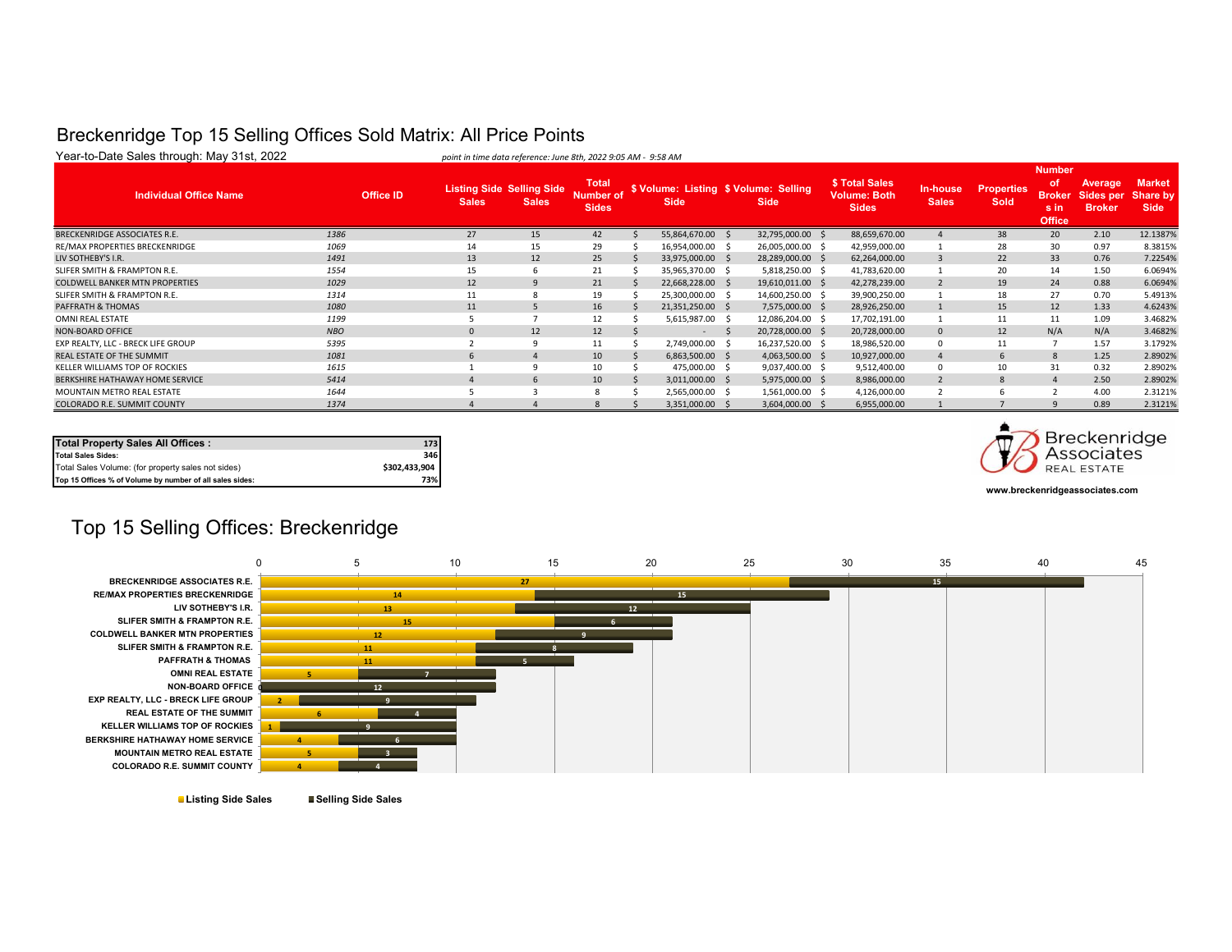#### Breckenridge Top 15 Selling Offices Sold Matrix: All Price Points

| Year-to-Date Sales through: May 31st, 2022 |                  | point in time data reference: June 8th, 2022 9:05 AM - 9:58 AM |                                                  |                                           |                                                      |     |                   |                                                       |                          |                           |                                                               |                                       |                                          |
|--------------------------------------------|------------------|----------------------------------------------------------------|--------------------------------------------------|-------------------------------------------|------------------------------------------------------|-----|-------------------|-------------------------------------------------------|--------------------------|---------------------------|---------------------------------------------------------------|---------------------------------------|------------------------------------------|
| <b>Individual Office Name</b>              | <b>Office ID</b> | <b>Sales</b>                                                   | <b>Listing Side Selling Side</b><br><b>Sales</b> | <b>Total</b><br>Number of<br><b>Sides</b> | \$ Volume: Listing \$ Volume: Selling<br><b>Side</b> |     | <b>Side</b>       | \$ Total Sales<br><b>Volume: Both</b><br><b>Sides</b> | In-house<br><b>Sales</b> | <b>Properties</b><br>Sold | <b>Number</b><br>οf<br><b>Broker</b><br>s in<br><b>Office</b> | Average<br>Sides per<br><b>Broker</b> | <b>Market</b><br>Share by<br><b>Side</b> |
| <b>BRECKENRIDGE ASSOCIATES R.E.</b>        | 1386             | 27                                                             | 15                                               | 42                                        | 55,864,670.00 \$                                     |     | 32,795,000.00 \$  | 88,659,670.00                                         |                          | 38                        | 20                                                            | 2.10                                  | 12.1387%                                 |
| RE/MAX PROPERTIES BRECKENRIDGE             | 1069             | 14                                                             | 15                                               | 29                                        | 16,954,000.00 \$                                     |     | 26,005,000.00 \$  | 42,959,000.00                                         |                          | 28                        | 30                                                            | 0.97                                  | 8.3815%                                  |
| LIV SOTHEBY'S I.R.                         | 1491             | 13                                                             | 12                                               | 25                                        | 33,975,000.00 \$                                     |     | 28,289,000.00 \$  | 62,264,000.00                                         |                          | 22                        | 33                                                            | 0.76                                  | 7.2254%                                  |
| SLIFER SMITH & FRAMPTON R.E.               | 1554             | 15                                                             | b                                                | 21                                        | 35,965,370.00 \$                                     |     | 5,818,250.00 \$   | 41,783,620.00                                         |                          | 20                        | 14                                                            | 1.50                                  | 6.0694%                                  |
| <b>COLDWELL BANKER MTN PROPERTIES</b>      | 1029             | 12                                                             |                                                  | 21                                        | 22,668,228.00 \$                                     |     | 19,610,011.00 \$  | 42,278,239.00                                         |                          | 19                        | 24                                                            | 0.88                                  | 6.0694%                                  |
| SLIFER SMITH & FRAMPTON R.E.               | 1314             | 11                                                             |                                                  | 19                                        | 25,300,000.00 \$                                     |     | 14,600,250.00 \$  | 39,900,250.00                                         |                          | 18                        | 27                                                            | 0.70                                  | 5.4913%                                  |
| PAFFRATH & THOMAS                          | 1080             | 11                                                             | 5                                                | 16                                        | 21,351,250.00 \$                                     |     | 7,575,000.00 \$   | 28,926,250.00                                         |                          | 15                        | 12                                                            | 1.33                                  | 4.6243%                                  |
| OMNI REAL ESTATE                           | 1199             |                                                                |                                                  | 12                                        | 5,615,987.00 \$                                      |     | 12,086,204.00 \$  | 17,702,191.00                                         |                          | 11                        | 11                                                            | 1.09                                  | 3.4682%                                  |
| <b>NON-BOARD OFFICE</b>                    | <b>NBO</b>       | $\Omega$                                                       | 12                                               | 12                                        | $\sim$                                               | - S | 20,728,000.00 \$  | 20,728,000.00                                         | $\Omega$                 | 12                        | N/A                                                           | N/A                                   | 3.4682%                                  |
| EXP REALTY, LLC - BRECK LIFE GROUP         | 5395             |                                                                |                                                  | 11                                        | 2,749,000.00 \$                                      |     | 16,237,520.00 \$  | 18,986,520.00                                         |                          | 11                        |                                                               | 1.57                                  | 3.1792%                                  |
| REAL ESTATE OF THE SUMMIT                  | 1081             | 6                                                              |                                                  | 10 <sup>10</sup>                          | $6,863,500.00$ \$                                    |     | $4,063,500.00$ \$ | 10,927,000.00                                         |                          | 6.                        | 8                                                             | 1.25                                  | 2.8902%                                  |
| KELLER WILLIAMS TOP OF ROCKIES             | 1615             |                                                                |                                                  | 10                                        | 475,000.00 \$                                        |     | $9,037,400.00$ \$ | 9,512,400.00                                          |                          | 10                        | 31                                                            | 0.32                                  | 2.8902%                                  |
| BERKSHIRE HATHAWAY HOME SERVICE            | 5414             |                                                                | 6                                                | 10 <sup>10</sup>                          | $3,011,000.00$ \$                                    |     | 5,975,000.00 \$   | 8,986,000.00                                          |                          | 8                         | $\overline{4}$                                                | 2.50                                  | 2.8902%                                  |
| MOUNTAIN METRO REAL ESTATE                 | 1644             |                                                                |                                                  | <sub>R</sub>                              | 2,565,000.00 \$                                      |     | 1,561,000.00 \$   | 4,126,000.00                                          |                          |                           |                                                               | 4.00                                  | 2.3121%                                  |
| COLORADO R.E. SUMMIT COUNTY                | 1374             |                                                                |                                                  |                                           | 3,351,000.00                                         |     | 3,604,000.00 \$   | 6,955,000.00                                          |                          |                           |                                                               | 0.89                                  | 2.3121%                                  |

| <b>Total Property Sales All Offices:</b>                 | 173           |
|----------------------------------------------------------|---------------|
| <b>Total Sales Sides:</b>                                | 346           |
| Total Sales Volume: (for property sales not sides)       | \$302,433,904 |
| Top 15 Offices % of Volume by number of all sales sides: | 73%           |



**www.breckenridgeassociates.com**

#### Top 15 Selling Offices: Breckenridge



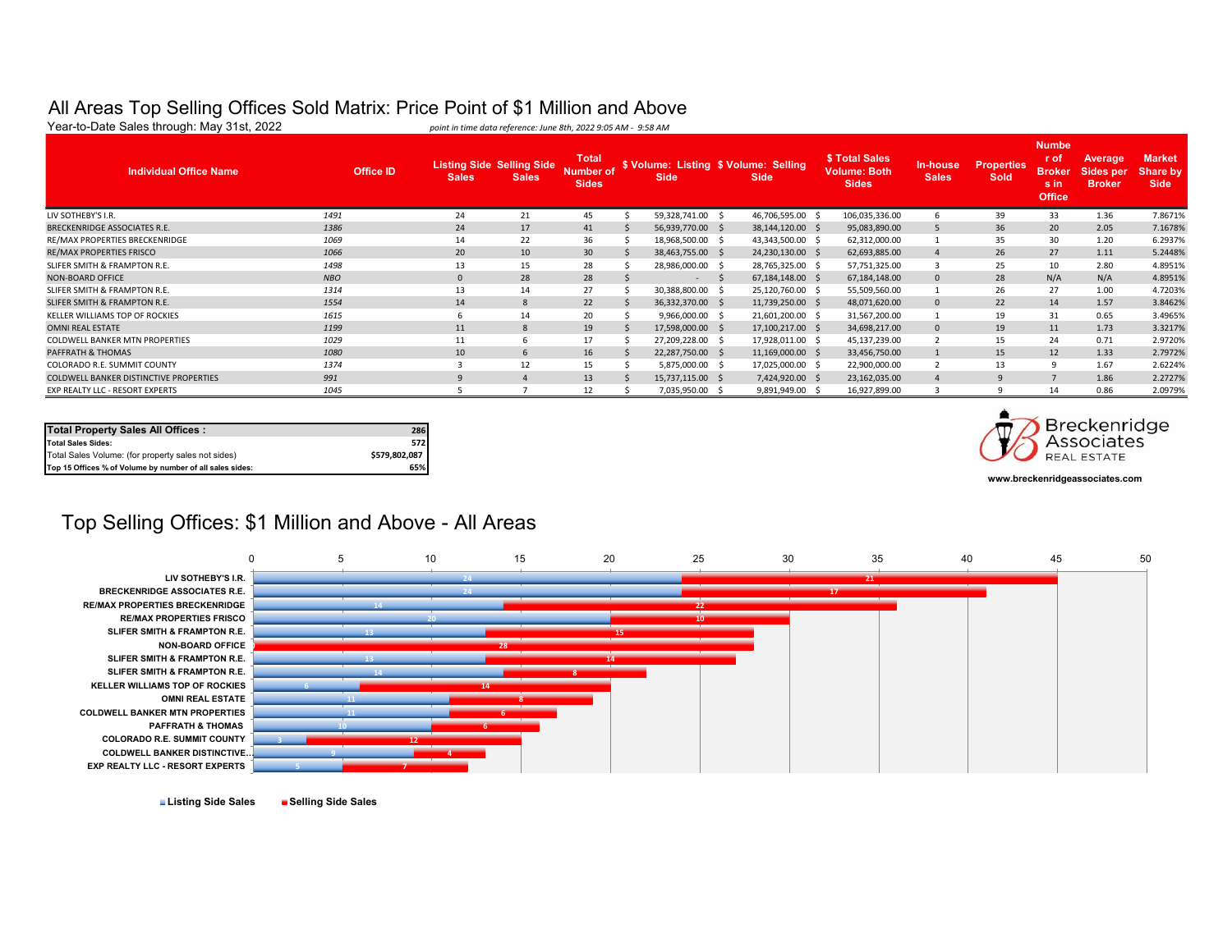# All Areas Top Selling Offices Sold Matrix: Price Point of \$1 Million and Above<br>Year-to-Date Sales through: May 31st, 2022<br>point in time data reference: June 8th, 2022 9:05 AM - 9:58 AM

point in time data reference: June 8th, 2022 9:05 AM - 9:58 AM **Individual Office Name** *Office ID* **Sales Listing Side Selling Side Sales Total Number of Sides \$ Volume: Listing \$ Volume: Selling Side Side \$ Total Sales Volume: Both Sides In-house Sales Properties Sold Numbe r of Broker s in Office Average Sides per Broker Market Share by Side** LIV SOTHEBY'S I.R. *1491* 24 21 45 \$ 59,328,741.00 \$ 46,706,595.00 \$ 106,035,336.00 6 39 33 1.36 7.8671% BRECKENRIDGE ASSOCIATES R.E. *1386* 24 17 41 \$ 56,939,770.00 \$ 38,144,120.00 \$ 95,083,890.00 5 36 20 2.05 7.1678% RE/MAX PROPERTIES BRECKENRIDGE 1069 1069 14 22 36 \$ 18,968,500.00 \$ 43,343,500.00 \$ 62,312,000.00 1 35 30 1.20 6.2937% RE/MAX PROPERTIES FRISCO *1066* 20 10 30 \$ 38,463,755.00 \$ 24,230,130.00 \$ 62,693,885.00 4 26 27 1.11 5.2448% SLIFER SMITH & FRAMPTON R.E. *1498* 13 15 28 \$ 28,986,000.00 \$ 28,765,325.00 \$ 57,751,325.00 3 25 10 2.80 4.8951% NON-BOARD OFFICE *NBO* 0 28 28 \$ - \$ 67,184,148.00 \$ 67,184,148.00 0 28 N/A N/A 4.8951% SLIFER SMITH & FRAMPTON R.E. *1314* 13 14 27 \$ 30,388,800.00 \$ 25,120,760.00 \$ 55,509,560.00 1 26 27 1.00 4.7203% SLIFER SMITH & FRAMPTON R.E. *1554* 14 8 22 \$ 36,332,370.00 \$ 11,739,250.00 \$ 48,071,620.00 0 22 14 1.57 3.8462% KELLER WILLIAMS TOP OF ROCKIES *1615* 6 14 20 \$ 9,966,000.00 \$ 21,601,200.00 \$ 31,567,200.00 1 19 31 0.65 3.4965% OMNI REAL ESTATE *1199* 11 8 19 \$ 17,598,000.00 \$ 17,100,217.00 \$ 34,698,217.00 0 19 11 1.73 3.3217% COLDWELL BANKER MTN PROPERTIES *1029* 11 6 17 \$ 27,209,228.00 \$ 17,928,011.00 \$ 45,137,239.00 2 15 24 0.71 2.9720% PAFFRATH & THOMAS *1080* 10 6 16 \$ 22,287,750.00 \$ 11,169,000.00 \$ 33,456,750.00 1 15 12 1.33 2.7972% COLORADO R.E. SUMMIT COUNTY *1374* 3 12 15 \$ 5,875,000.00 \$ 17,025,000.00 \$ 22,900,000.00 2 13 9 1.67 2.6224% COLDWELL BANKER DISTINCTIVE PROPERTIES *991* 9 4 13 \$ 15,737,115.00 \$ 7,424,920.00 \$ 23,162,035.00 4 9 7 1.86 2.2727% EXP REALTY LLC - RESORT EXPERTS *1045* 5 7 12 \$ 7,035,950.00 \$ 9,891,949.00 \$ 16,927,899.00 3 9 14 0.86 2.0979%

| <b>Total Property Sales All Offices:</b>                 | 286           |
|----------------------------------------------------------|---------------|
| <b>Total Sales Sides:</b>                                | 572           |
| Total Sales Volume: (for property sales not sides)       | \$579,802,087 |
| Top 15 Offices % of Volume by number of all sales sides: | 65%           |



**www.breckenridgeassociates.com**

#### Top Selling Offices: \$1 Million and Above - All Areas



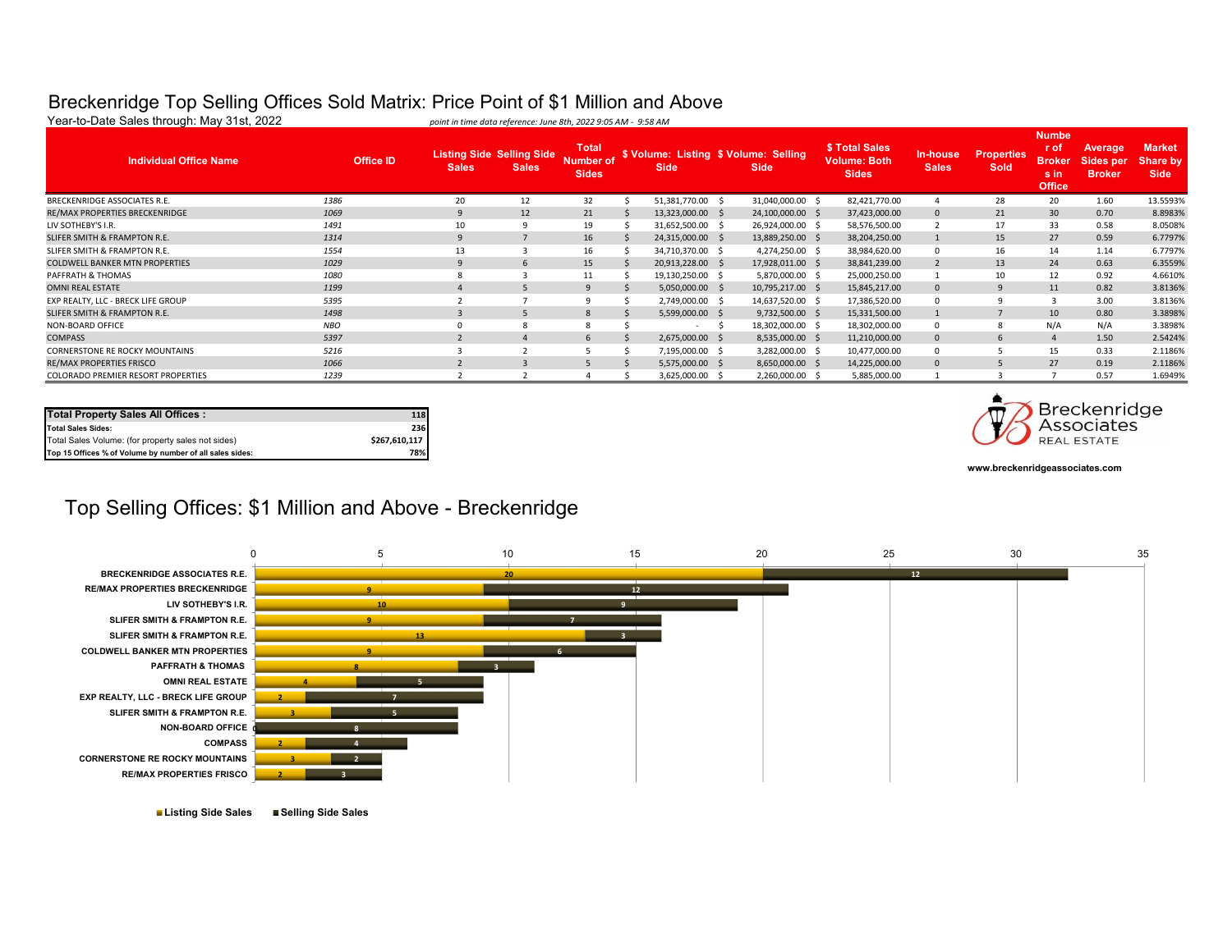#### Breckenridge Top Selling Offices Sold Matrix: Price Point of \$1 Million and Above

| Year-to-Date Sales through: May 31st, 2022 |                  | point in time data reference: June 8th, 2022 9:05 AM - 9:58 AM |                                                  |                                           |                  |    |                                                      |                                                       |                           |                                  |                                                                |                                              |                                          |
|--------------------------------------------|------------------|----------------------------------------------------------------|--------------------------------------------------|-------------------------------------------|------------------|----|------------------------------------------------------|-------------------------------------------------------|---------------------------|----------------------------------|----------------------------------------------------------------|----------------------------------------------|------------------------------------------|
| <b>Individual Office Name</b>              | <b>Office ID</b> | <b>Sales</b>                                                   | <b>Listing Side Selling Side</b><br><b>Sales</b> | <b>Total</b><br>Number of<br><b>Sides</b> | <b>Side</b>      |    | \$ Volume: Listing \$ Volume: Selling<br><b>Side</b> | \$ Total Sales<br><b>Volume: Both</b><br><b>Sides</b> | In-house,<br><b>Sales</b> | <b>Properties</b><br><b>Sold</b> | <b>Numbe</b><br>r of<br><b>Broker</b><br>s in<br><b>Office</b> | <b>Average</b><br>Sides per<br><b>Broker</b> | <b>Market</b><br>Share by<br><b>Side</b> |
| BRECKENRIDGE ASSOCIATES R.E.               | 1386             | 20                                                             | 12                                               | 32                                        | 51,381,770.00 \$ |    | 31,040,000.00 \$                                     | 82,421,770.00                                         |                           | 28                               | 20                                                             | 1.60                                         | 13.5593%                                 |
| RE/MAX PROPERTIES BRECKENRIDGE             | 1069             | 9                                                              | 12                                               | 21                                        | 13,323,000.00 \$ |    | 24,100,000.00 \$                                     | 37,423,000.00                                         | $\mathbf{0}$              | 21                               | 30                                                             | 0.70                                         | 8.8983%                                  |
| LIV SOTHEBY'S I.R.                         | 1491             | 10                                                             |                                                  | 19                                        | 31,652,500.00 \$ |    | 26,924,000.00 \$                                     | 58,576,500.00                                         | $\overline{2}$            | 17                               | 33                                                             | 0.58                                         | 8.0508%                                  |
| SLIFER SMITH & FRAMPTON R.E.               | 1314             | 9                                                              |                                                  | 16                                        | 24,315,000.00 \$ |    | 13,889,250.00 \$                                     | 38,204,250.00                                         |                           | 15                               | 27                                                             | 0.59                                         | 6.7797%                                  |
| SLIFER SMITH & FRAMPTON R.E.               | 1554             | 13                                                             |                                                  | 16                                        | 34,710,370.00 \$ |    | 4,274,250.00 \$                                      | 38,984,620.00                                         | $\mathbf 0$               | 16                               | 14                                                             | 1.14                                         | 6.7797%                                  |
| <b>COLDWELL BANKER MTN PROPERTIES</b>      | 1029             |                                                                |                                                  | 15                                        | 20,913,228.00 \$ |    | 17,928,011.00 \$                                     | 38,841,239.00                                         | $\overline{2}$            | 13                               | 24                                                             | 0.63                                         | 6.3559%                                  |
| PAFFRATH & THOMAS                          | 1080             |                                                                |                                                  | 11                                        | 19,130,250.00 \$ |    | 5,870,000.00 \$                                      | 25,000,250.00                                         |                           | 10                               | 12                                                             | 0.92                                         | 4.6610%                                  |
| <b>OMNI REAL ESTATE</b>                    | 1199             |                                                                |                                                  | 9                                         | 5,050,000.00 \$  |    | 10,795,217.00 \$                                     | 15,845,217.00                                         | $\mathbf{0}$              | 9                                | 11                                                             | 0.82                                         | 3.8136%                                  |
| EXP REALTY, LLC - BRECK LIFE GROUP         | 5395             |                                                                |                                                  |                                           | 2,749,000.00 \$  |    | 14,637,520.00 \$                                     | 17,386,520.00                                         |                           | 9                                |                                                                | 3.00                                         | 3.8136%                                  |
| SLIFER SMITH & FRAMPTON R.E.               | 1498             |                                                                |                                                  | $\mathbf{8}$                              | 5,599,000.00 \$  |    | 9,732,500.00 \$                                      | 15,331,500.00                                         |                           | 7                                | 10                                                             | 0.80                                         | 3.3898%                                  |
| NON-BOARD OFFICE                           | <b>NBO</b>       |                                                                |                                                  |                                           | . .              | -S | 18,302,000.00 \$                                     | 18,302,000.00                                         | $\mathbf{0}$              | 8                                | N/A                                                            | N/A                                          | 3.3898%                                  |
| <b>COMPASS</b>                             | 5397             |                                                                |                                                  | -6                                        | 2,675,000.00 \$  |    | 8,535,000.00 \$                                      | 11,210,000.00                                         | $\mathbf{0}$              | 6                                | $\overline{4}$                                                 | 1.50                                         | 2.5424%                                  |
| <b>CORNERSTONE RE ROCKY MOUNTAINS</b>      | 5216             |                                                                |                                                  |                                           | 7,195,000.00 \$  |    | 3,282,000.00 \$                                      | 10,477,000.00                                         | 0                         |                                  | 15                                                             | 0.33                                         | 2.1186%                                  |
| <b>RE/MAX PROPERTIES FRISCO</b>            | 1066             |                                                                |                                                  |                                           | 5,575,000.00 \$  |    | 8,650,000.00 \$                                      | 14,225,000.00                                         | $\mathbf{0}$              |                                  | 27                                                             | 0.19                                         | 2.1186%                                  |
| COLORADO PREMIER RESORT PROPERTIES         | 1239             |                                                                |                                                  |                                           | 3,625,000.00 \$  |    | 2,260,000.00 \$                                      | 5,885,000.00                                          |                           |                                  |                                                                | 0.57                                         | 1.6949%                                  |

| <b>Total Property Sales All Offices:</b>                 | 118           |
|----------------------------------------------------------|---------------|
| <b>Total Sales Sides:</b>                                | 236           |
| Total Sales Volume: (for property sales not sides)       | \$267.610.117 |
| Top 15 Offices % of Volume by number of all sales sides: | 78%           |



**www.breckenridgeassociates.com**

## Top Selling Offices: \$1 Million and Above - Breckenridge



**Listing Side Sales Selling Side Sales**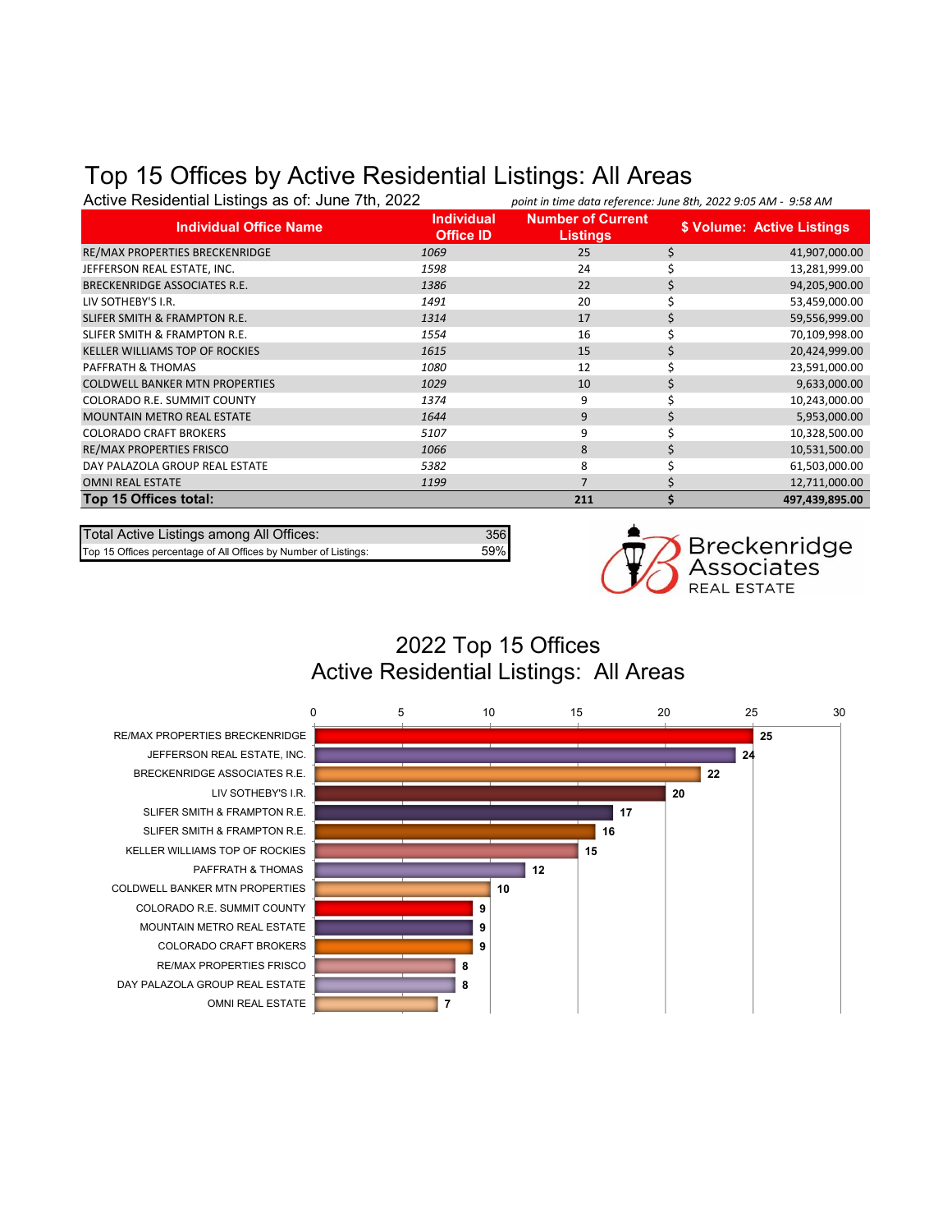## Top 15 Offices by Active Residential Listings: All Areas

| Active Residential Listings as of: June 7th, 2022 |                                       | point in time data reference: June 8th, 2022 9:05 AM - 9:58 AM |    |                            |
|---------------------------------------------------|---------------------------------------|----------------------------------------------------------------|----|----------------------------|
| <b>Individual Office Name</b>                     | <b>Individual</b><br><b>Office ID</b> | <b>Number of Current</b><br><b>Listings</b>                    |    | \$ Volume: Active Listings |
| RE/MAX PROPERTIES BRECKENRIDGE                    | 1069                                  | 25                                                             | \$ | 41,907,000.00              |
| JEFFERSON REAL ESTATE, INC.                       | 1598                                  | 24                                                             |    | 13,281,999.00              |
| <b>BRECKENRIDGE ASSOCIATES R.E.</b>               | 1386                                  | 22                                                             |    | 94,205,900.00              |
| LIV SOTHEBY'S I.R.                                | 1491                                  | 20                                                             |    | 53,459,000.00              |
| SLIFER SMITH & FRAMPTON R.E.                      | 1314                                  | 17                                                             |    | 59,556,999.00              |
| SLIFER SMITH & FRAMPTON R.E.                      | 1554                                  | 16                                                             |    | 70,109,998.00              |
| <b>KELLER WILLIAMS TOP OF ROCKIES</b>             | 1615                                  | 15                                                             |    | 20,424,999.00              |
| PAFFRATH & THOMAS                                 | 1080                                  | 12                                                             |    | 23,591,000.00              |
| <b>COLDWELL BANKER MTN PROPERTIES</b>             | 1029                                  | 10                                                             | S  | 9,633,000.00               |
| COLORADO R.E. SUMMIT COUNTY                       | 1374                                  | 9                                                              |    | 10,243,000.00              |
| <b>MOUNTAIN METRO REAL ESTATE</b>                 | 1644                                  | 9                                                              |    | 5,953,000.00               |
| <b>COLORADO CRAFT BROKERS</b>                     | 5107                                  | 9                                                              |    | 10,328,500.00              |
| RE/MAX PROPERTIES FRISCO                          | 1066                                  | 8                                                              |    | 10,531,500.00              |
| DAY PALAZOLA GROUP REAL ESTATE                    | 5382                                  | 8                                                              |    | 61,503,000.00              |
| <b>OMNI REAL ESTATE</b>                           | 1199                                  | 7                                                              |    | 12,711,000.00              |
| Top 15 Offices total:                             |                                       | 211                                                            |    | 497,439,895.00             |

Total Active Listings among All Offices: 356<br>
Top 15 Offices percentage of All Offices by Number of Listings: 59% Top 15 Offices percentage of All Offices by Number of Listings:



## 2022 Top 15 Offices Active Residential Listings: All Areas